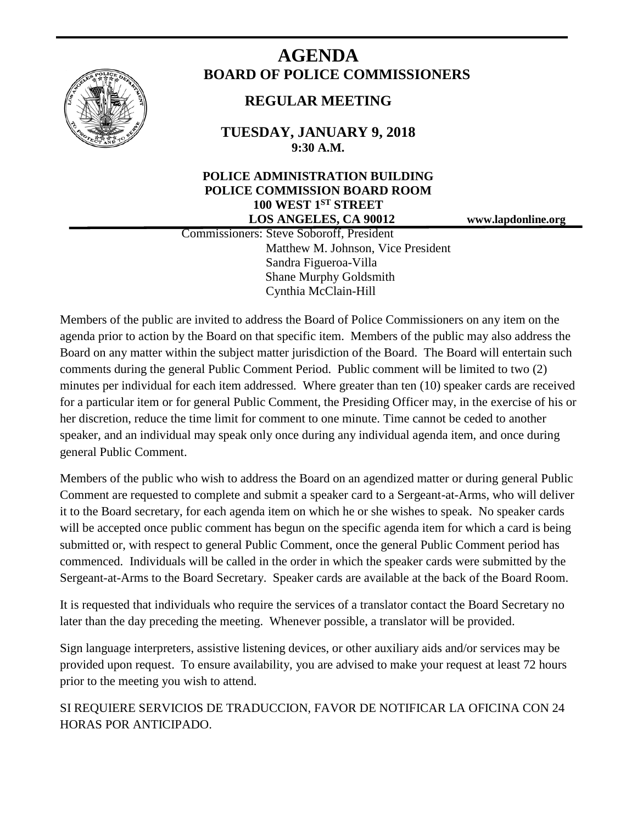

# **AGENDA BOARD OF POLICE COMMISSIONERS**

# **REGULAR MEETING**

**TUESDAY, JANUARY 9, 2018 9:30 A.M.**

## **POLICE ADMINISTRATION BUILDING POLICE COMMISSION BOARD ROOM 100 WEST 1ST STREET LOS ANGELES, CA 90012 www.lapdonline.org**

 Commissioners: Steve Soboroff, President Matthew M. Johnson, Vice President Sandra Figueroa-Villa Shane Murphy Goldsmith Cynthia McClain-Hill

Members of the public are invited to address the Board of Police Commissioners on any item on the agenda prior to action by the Board on that specific item. Members of the public may also address the Board on any matter within the subject matter jurisdiction of the Board. The Board will entertain such comments during the general Public Comment Period. Public comment will be limited to two (2) minutes per individual for each item addressed. Where greater than ten (10) speaker cards are received for a particular item or for general Public Comment, the Presiding Officer may, in the exercise of his or her discretion, reduce the time limit for comment to one minute. Time cannot be ceded to another speaker, and an individual may speak only once during any individual agenda item, and once during general Public Comment.

Members of the public who wish to address the Board on an agendized matter or during general Public Comment are requested to complete and submit a speaker card to a Sergeant-at-Arms, who will deliver it to the Board secretary, for each agenda item on which he or she wishes to speak. No speaker cards will be accepted once public comment has begun on the specific agenda item for which a card is being submitted or, with respect to general Public Comment, once the general Public Comment period has commenced. Individuals will be called in the order in which the speaker cards were submitted by the Sergeant-at-Arms to the Board Secretary. Speaker cards are available at the back of the Board Room.

It is requested that individuals who require the services of a translator contact the Board Secretary no later than the day preceding the meeting. Whenever possible, a translator will be provided.

Sign language interpreters, assistive listening devices, or other auxiliary aids and/or services may be provided upon request. To ensure availability, you are advised to make your request at least 72 hours prior to the meeting you wish to attend.

SI REQUIERE SERVICIOS DE TRADUCCION, FAVOR DE NOTIFICAR LA OFICINA CON 24 HORAS POR ANTICIPADO.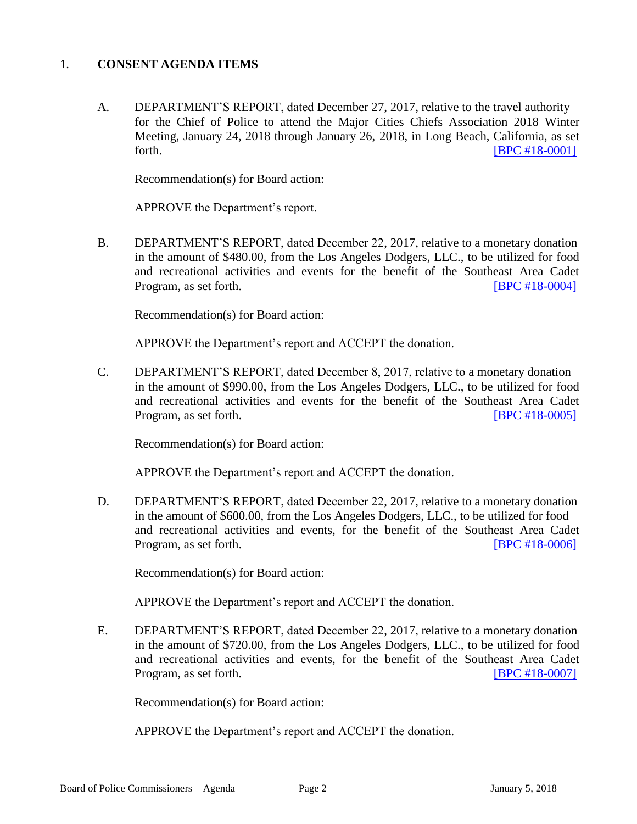#### 1. **CONSENT AGENDA ITEMS**

A. DEPARTMENT'S REPORT, dated December 27, 2017, relative to the travel authority for the Chief of Police to attend the Major Cities Chiefs Association 2018 Winter Meeting, January 24, 2018 through January 26, 2018, in Long Beach, California, as set forth. **IBPC** #18-0001]

Recommendation(s) for Board action:

APPROVE the Department's report.

B. DEPARTMENT'S REPORT, dated December 22, 2017, relative to a monetary donation in the amount of \$480.00, from the Los Angeles Dodgers, LLC., to be utilized for food and recreational activities and events for the benefit of the Southeast Area Cadet Program, as set forth. [\[BPC #18-0004\]](http://www.lapdpolicecom.lacity.org/010918/BPC_18-0004.pdf)

Recommendation(s) for Board action:

APPROVE the Department's report and ACCEPT the donation.

C. DEPARTMENT'S REPORT, dated December 8, 2017, relative to a monetary donation in the amount of \$990.00, from the Los Angeles Dodgers, LLC., to be utilized for food and recreational activities and events for the benefit of the Southeast Area Cadet Program, as set forth. **IDPC #18-0005** 

Recommendation(s) for Board action:

APPROVE the Department's report and ACCEPT the donation.

D. DEPARTMENT'S REPORT, dated December 22, 2017, relative to a monetary donation in the amount of \$600.00, from the Los Angeles Dodgers, LLC., to be utilized for food and recreational activities and events, for the benefit of the Southeast Area Cadet Program, as set forth. **IDPC #18-0006** 

Recommendation(s) for Board action:

APPROVE the Department's report and ACCEPT the donation.

E. DEPARTMENT'S REPORT, dated December 22, 2017, relative to a monetary donation in the amount of \$720.00, from the Los Angeles Dodgers, LLC., to be utilized for food and recreational activities and events, for the benefit of the Southeast Area Cadet Program, as set forth. **[\[BPC #18-0007\]](http://www.lapdpolicecom.lacity.org/010918/BPC_18-0007.pdf)** 

Recommendation(s) for Board action:

APPROVE the Department's report and ACCEPT the donation.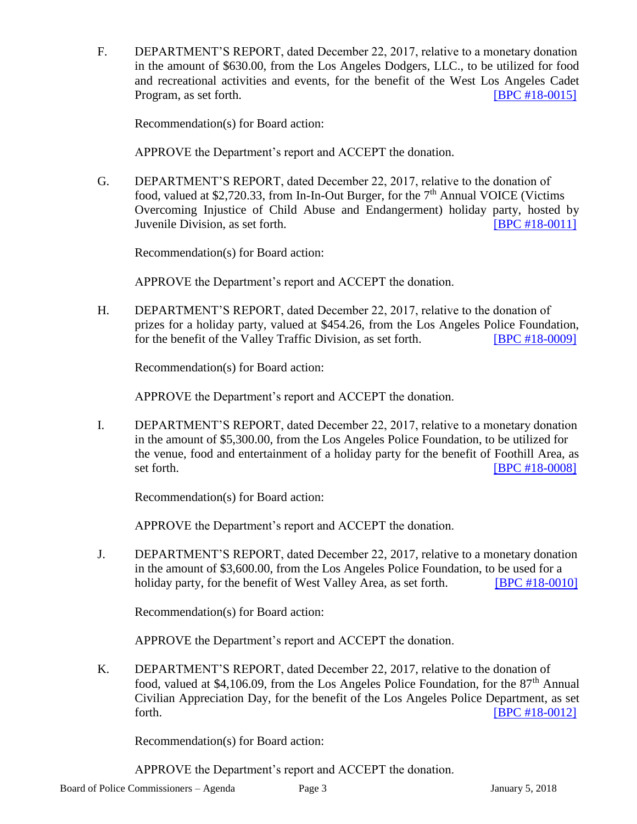F. DEPARTMENT'S REPORT, dated December 22, 2017, relative to a monetary donation in the amount of \$630.00, from the Los Angeles Dodgers, LLC., to be utilized for food and recreational activities and events, for the benefit of the West Los Angeles Cadet Program, as set forth. **IDPC #18-0015** 

Recommendation(s) for Board action:

APPROVE the Department's report and ACCEPT the donation.

G. DEPARTMENT'S REPORT, dated December 22, 2017, relative to the donation of food, valued at \$2,720.33, from In-In-Out Burger, for the  $7<sup>th</sup>$  Annual VOICE (Victims Overcoming Injustice of Child Abuse and Endangerment) holiday party, hosted by Juvenile Division, as set forth. [\[BPC #18-0011\]](http://www.lapdpolicecom.lacity.org/010918/BPC_18-0011.pdf)

Recommendation(s) for Board action:

APPROVE the Department's report and ACCEPT the donation.

H. DEPARTMENT'S REPORT, dated December 22, 2017, relative to the donation of prizes for a holiday party, valued at \$454.26, from the Los Angeles Police Foundation, for the benefit of the Valley Traffic Division, as set forth. [\[BPC #18-0009\]](http://www.lapdpolicecom.lacity.org/010918/BPC_18-0009.pdf)

Recommendation(s) for Board action:

APPROVE the Department's report and ACCEPT the donation.

I. DEPARTMENT'S REPORT, dated December 22, 2017, relative to a monetary donation in the amount of \$5,300.00, from the Los Angeles Police Foundation, to be utilized for the venue, food and entertainment of a holiday party for the benefit of Foothill Area, as set forth. **IBPC #18-0008** 

Recommendation(s) for Board action:

APPROVE the Department's report and ACCEPT the donation.

J. DEPARTMENT'S REPORT, dated December 22, 2017, relative to a monetary donation in the amount of \$3,600.00, from the Los Angeles Police Foundation, to be used for a holiday party, for the benefit of West Valley Area, as set forth. **IBPC #18-00101** 

Recommendation(s) for Board action:

APPROVE the Department's report and ACCEPT the donation.

K. DEPARTMENT'S REPORT, dated December 22, 2017, relative to the donation of food, valued at \$4,106.09, from the Los Angeles Police Foundation, for the  $87<sup>th</sup>$  Annual Civilian Appreciation Day, for the benefit of the Los Angeles Police Department, as set forth. **IBPC** #18-0012]

Recommendation(s) for Board action:

APPROVE the Department's report and ACCEPT the donation.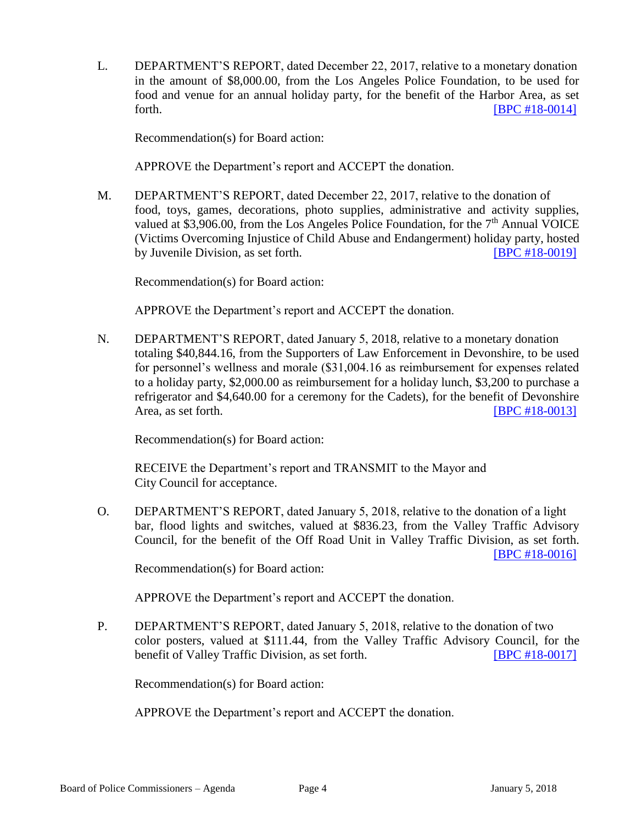L. DEPARTMENT'S REPORT, dated December 22, 2017, relative to a monetary donation in the amount of \$8,000.00, from the Los Angeles Police Foundation, to be used for food and venue for an annual holiday party, for the benefit of the Harbor Area, as set forth. **IBPC #18-00141** 

Recommendation(s) for Board action:

APPROVE the Department's report and ACCEPT the donation.

M. DEPARTMENT'S REPORT, dated December 22, 2017, relative to the donation of food, toys, games, decorations, photo supplies, administrative and activity supplies, valued at \$3,906.00, from the Los Angeles Police Foundation, for the  $7<sup>th</sup>$  Annual VOICE (Victims Overcoming Injustice of Child Abuse and Endangerment) holiday party, hosted by Juvenile Division, as set forth. [\[BPC #18-0019\]](http://www.lapdpolicecom.lacity.org/010918/BPC_18-0019.pdf)

Recommendation(s) for Board action:

APPROVE the Department's report and ACCEPT the donation.

N. DEPARTMENT'S REPORT, dated January 5, 2018, relative to a monetary donation totaling \$40,844.16, from the Supporters of Law Enforcement in Devonshire, to be used for personnel's wellness and morale (\$31,004.16 as reimbursement for expenses related to a holiday party, \$2,000.00 as reimbursement for a holiday lunch, \$3,200 to purchase a refrigerator and \$4,640.00 for a ceremony for the Cadets), for the benefit of Devonshire Area, as set forth. **IDPC #18-0013** 

Recommendation(s) for Board action:

RECEIVE the Department's report and TRANSMIT to the Mayor and City Council for acceptance.

O. DEPARTMENT'S REPORT, dated January 5, 2018, relative to the donation of a light bar, flood lights and switches, valued at \$836.23, from the Valley Traffic Advisory Council, for the benefit of the Off Road Unit in Valley Traffic Division, as set forth. [BPC [#18-0016\]](http://www.lapdpolicecom.lacity.org/010918/BPC_18-0016.pdf)

Recommendation(s) for Board action:

APPROVE the Department's report and ACCEPT the donation.

P. DEPARTMENT'S REPORT, dated January 5, 2018, relative to the donation of two color posters, valued at \$111.44, from the Valley Traffic Advisory Council, for the benefit of Valley Traffic Division, as set forth. [\[BPC #18-0017\]](http://www.lapdpolicecom.lacity.org/010918/BPC_18-0017.pdf)

Recommendation(s) for Board action:

APPROVE the Department's report and ACCEPT the donation.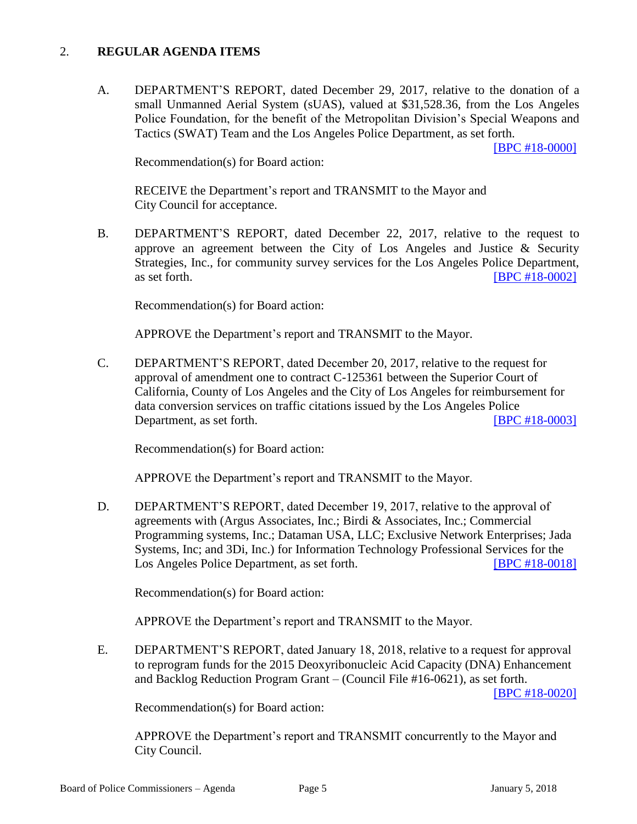#### 2. **REGULAR AGENDA ITEMS**

A. DEPARTMENT'S REPORT, dated December 29, 2017, relative to the donation of a small Unmanned Aerial System (sUAS), valued at \$31,528.36, from the Los Angeles Police Foundation, for the benefit of the Metropolitan Division's Special Weapons and Tactics (SWAT) Team and the Los Angeles Police Department, as set forth.

[\[BPC #18-0000\]](http://www.lapdpolicecom.lacity.org/010918/BPC_18-0000-rev2.pdf)

Recommendation(s) for Board action:

RECEIVE the Department's report and TRANSMIT to the Mayor and City Council for acceptance.

B. DEPARTMENT'S REPORT, dated December 22, 2017, relative to the request to approve an agreement between the City of Los Angeles and Justice & Security Strategies, Inc., for community survey services for the Los Angeles Police Department, as set forth. **IBPC #18-0002** 

Recommendation(s) for Board action:

APPROVE the Department's report and TRANSMIT to the Mayor.

C. DEPARTMENT'S REPORT, dated December 20, 2017, relative to the request for approval of amendment one to contract C-125361 between the Superior Court of California, County of Los Angeles and the City of Los Angeles for reimbursement for data conversion services on traffic citations issued by the Los Angeles Police Department, as set forth. [\[BPC #18-0003\]](http://www.lapdpolicecom.lacity.org/010918/BPC_18-0003.pdf)

Recommendation(s) for Board action:

APPROVE the Department's report and TRANSMIT to the Mayor.

D. DEPARTMENT'S REPORT, dated December 19, 2017, relative to the approval of agreements with (Argus Associates, Inc.; Birdi & Associates, Inc.; Commercial Programming systems, Inc.; Dataman USA, LLC; Exclusive Network Enterprises; Jada Systems, Inc; and 3Di, Inc.) for Information Technology Professional Services for the Los Angeles Police Department, as set forth. [\[BPC #18-0018\]](http://www.lapdpolicecom.lacity.org/010918/BPC_18-0018.pdf)

Recommendation(s) for Board action:

APPROVE the Department's report and TRANSMIT to the Mayor.

E. DEPARTMENT'S REPORT, dated January 18, 2018, relative to a request for approval to reprogram funds for the 2015 Deoxyribonucleic Acid Capacity (DNA) Enhancement and Backlog Reduction Program Grant – (Council File #16-0621), as set forth.

[\[BPC #18-0020\]](http://www.lapdpolicecom.lacity.org/010918/BPC_18-0020.pdf)

Recommendation(s) for Board action:

APPROVE the Department's report and TRANSMIT concurrently to the Mayor and City Council.